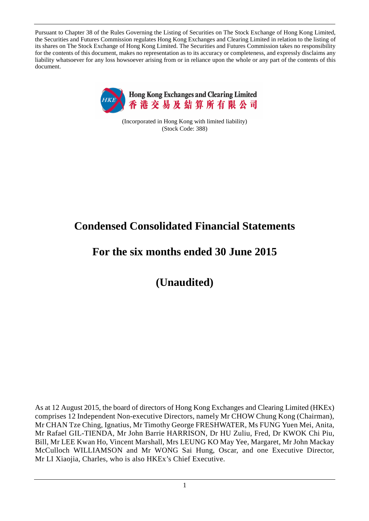Pursuant to Chapter 38 of the Rules Governing the Listing of Securities on The Stock Exchange of Hong Kong Limited, the Securities and Futures Commission regulates Hong Kong Exchanges and Clearing Limited in relation to the listing of its shares on The Stock Exchange of Hong Kong Limited. The Securities and Futures Commission takes no responsibility for the contents of this document, makes no representation as to its accuracy or completeness, and expressly disclaims any liability whatsoever for any loss howsoever arising from or in reliance upon the whole or any part of the contents of this document.



(Incorporated in Hong Kong with limited liability) (Stock Code: 388)

# **Condensed Consolidated Financial Statements**

# **For the six months ended 30 June 2015**

**(Unaudited)**

As at 12 August 2015, the board of directors of Hong Kong Exchanges and Clearing Limited (HKEx) comprises 12 Independent Non-executive Directors, namely Mr CHOW Chung Kong (Chairman), Mr CHAN Tze Ching, Ignatius, Mr Timothy George FRESHWATER, Ms FUNG Yuen Mei, Anita, Mr Rafael GIL-TIENDA, Mr John Barrie HARRISON, Dr HU Zuliu, Fred, Dr KWOK Chi Piu, Bill, Mr LEE Kwan Ho, Vincent Marshall, Mrs LEUNG KO May Yee, Margaret, Mr John Mackay McCulloch WILLIAMSON and Mr WONG Sai Hung, Oscar, and one Executive Director, Mr LI Xiaojia, Charles, who is also HKEx's Chief Executive.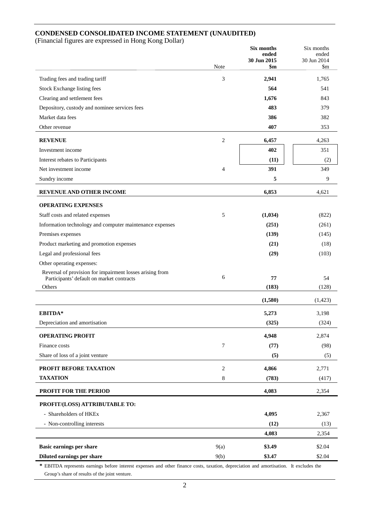#### **CONDENSED CONSOLIDATED INCOME STATEMENT (UNAUDITED)**

(Financial figures are expressed in Hong Kong Dollar)

|                                                          |                | Six months<br>ended | Six months<br>ended |
|----------------------------------------------------------|----------------|---------------------|---------------------|
|                                                          |                | 30 Jun 2015         | 30 Jun 2014         |
|                                                          | Note           | $\mathbf{\$m}$      | $\mathbf{\$m}$      |
| Trading fees and trading tariff                          | 3              | 2,941               | 1,765               |
| Stock Exchange listing fees                              |                | 564                 | 541                 |
| Clearing and settlement fees                             |                | 1,676               | 843                 |
| Depository, custody and nominee services fees            |                | 483                 | 379                 |
| Market data fees                                         |                | 386                 | 382                 |
| Other revenue                                            |                | 407                 | 353                 |
| <b>REVENUE</b>                                           | $\overline{2}$ | 6,457               | 4,263               |
| Investment income                                        |                | 402                 | 351                 |
| Interest rebates to Participants                         |                | (11)                | (2)                 |
| Net investment income                                    | 4              | 391                 | 349                 |
| Sundry income                                            |                | 5                   | 9                   |
| <b>REVENUE AND OTHER INCOME</b>                          |                | 6,853               | 4,621               |
| <b>OPERATING EXPENSES</b>                                |                |                     |                     |
| Staff costs and related expenses                         | 5              | (1,034)             | (822)               |
| Information technology and computer maintenance expenses |                | (251)               | (261)               |
| Premises expenses                                        |                | (139)               | (145)               |
| Product marketing and promotion expenses                 |                | (21)                | (18)                |
| Legal and professional fees                              |                | (29)                | (103)               |
| Other operating expenses:                                |                |                     |                     |
| Reversal of provision for impairment losses arising from | 6              |                     |                     |
| Participants' default on market contracts<br>Others      |                | 77<br>(183)         | 54                  |
|                                                          |                |                     | (128)               |
|                                                          |                | (1,580)             | (1,423)             |
| EBITDA*                                                  |                | 5,273               | 3,198               |
| Depreciation and amortisation                            |                | (325)               | (324)               |
| <b>OPERATING PROFIT</b>                                  |                | 4,948               | 2,874               |
| Finance costs                                            | 7              | (77)                | (98)                |
| Share of loss of a joint venture                         |                | (5)                 | (5)                 |
| PROFIT BEFORE TAXATION                                   | $\sqrt{2}$     | 4,866               | 2,771               |
| <b>TAXATION</b>                                          | $\,8\,$        | (783)               | (417)               |
| PROFIT FOR THE PERIOD                                    |                | 4,083               | 2,354               |
| PROFIT/(LOSS) ATTRIBUTABLE TO:                           |                |                     |                     |
| - Shareholders of HKEx                                   |                | 4,095               | 2,367               |
| - Non-controlling interests                              |                | (12)                | (13)                |
|                                                          |                | 4,083               | 2,354               |
| Basic earnings per share                                 | 9(a)           | \$3.49              | \$2.04              |
| Diluted earnings per share                               | 9(b)           | \$3.47              | \$2.04              |
|                                                          |                |                     |                     |

**\*** EBITDA represents earnings before interest expenses and other finance costs, taxation, depreciation and amortisation. It excludes the Group's share of results of the joint venture.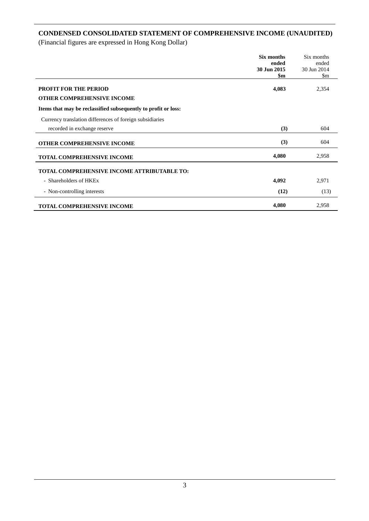# **CONDENSED CONSOLIDATED STATEMENT OF COMPREHENSIVE INCOME (UNAUDITED)**

|                                                                   | Six months<br>ended<br>30 Jun 2015<br>\$m | Six months<br>ended<br>30 Jun 2014<br>\$m |
|-------------------------------------------------------------------|-------------------------------------------|-------------------------------------------|
| <b>PROFIT FOR THE PERIOD</b><br><b>OTHER COMPREHENSIVE INCOME</b> | 4,083                                     | 2,354                                     |
| Items that may be reclassified subsequently to profit or loss:    |                                           |                                           |
| Currency translation differences of foreign subsidiaries          |                                           |                                           |
| recorded in exchange reserve                                      | (3)                                       | 604                                       |
| <b>OTHER COMPREHENSIVE INCOME</b>                                 | (3)                                       | 604                                       |
| <b>TOTAL COMPREHENSIVE INCOME</b>                                 | 4,080                                     | 2,958                                     |
| <b>TOTAL COMPREHENSIVE INCOME ATTRIBUTABLE TO:</b>                |                                           |                                           |
| - Shareholders of HKEx                                            | 4,092                                     | 2,971                                     |
| - Non-controlling interests                                       | (12)                                      | (13)                                      |
| <b>TOTAL COMPREHENSIVE INCOME</b>                                 | 4,080                                     | 2,958                                     |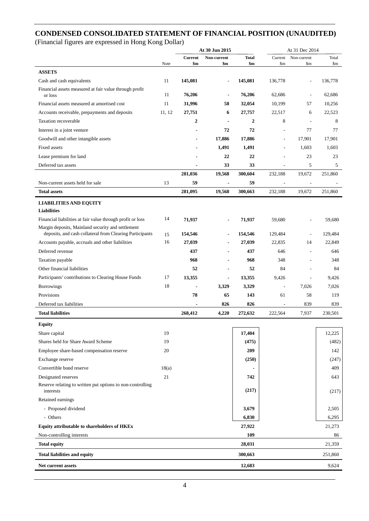# **CONDENSED CONSOLIDATED STATEMENT OF FINANCIAL POSITION (UNAUDITED)**

|                                                                                                               | At 30 Jun 2015 |                       |                               | At 31 Dec 2014      |                          |                                       |              |
|---------------------------------------------------------------------------------------------------------------|----------------|-----------------------|-------------------------------|---------------------|--------------------------|---------------------------------------|--------------|
|                                                                                                               | Note           | <b>Current</b><br>\$m | Non-current<br>$\mathbf{\$m}$ | <b>Total</b><br>\$m | Current<br>$\mathsf{Sm}$ | Non-current<br>$\mathop{\mathrm{Sm}}$ | Total<br>\$m |
| <b>ASSETS</b>                                                                                                 |                |                       |                               |                     |                          |                                       |              |
| Cash and cash equivalents                                                                                     | 11             | 145,081               |                               | 145,081             | 136,778                  |                                       | 136,778      |
| Financial assets measured at fair value through profit<br>or loss                                             | 11             | 76,206                | $\blacksquare$                | 76,206              | 62,686                   | L,                                    | 62,686       |
| Financial assets measured at amortised cost                                                                   | 11             | 31,996                | 58                            | 32,054              | 10,199                   | 57                                    | 10,256       |
| Accounts receivable, prepayments and deposits                                                                 | 11, 12         | 27,751                | 6                             | 27,757              | 22,517                   | 6                                     | 22,523       |
| Taxation recoverable                                                                                          |                | $\mathbf{2}$          | $\blacksquare$                | $\overline{2}$      | 8                        | $\overline{\phantom{a}}$              | 8            |
| Interest in a joint venture                                                                                   |                |                       | 72                            | 72                  | ٠                        | 77                                    | 77           |
| Goodwill and other intangible assets                                                                          |                | $\blacksquare$        | 17,886                        | 17,886              | $\overline{\phantom{a}}$ | 17,901                                | 17,901       |
| <b>Fixed assets</b>                                                                                           |                |                       | 1,491                         | 1,491               | L,                       | 1,603                                 | 1,603        |
| Lease premium for land                                                                                        |                |                       | 22                            | 22                  |                          | 23                                    | 23           |
| Deferred tax assets                                                                                           |                |                       | 33                            | 33                  | ÷,                       | 5                                     | 5            |
|                                                                                                               |                | 281,036               | 19,568                        | 300,604             | 232,188                  | 19,672                                | 251,860      |
| Non-current assets held for sale                                                                              | 13             | 59                    | $\blacksquare$                | 59                  |                          | $\overline{a}$                        |              |
| <b>Total assets</b>                                                                                           |                | 281,095               | 19,568                        | 300,663             | 232,188                  | 19,672                                | 251,860      |
| <b>LIABILITIES AND EQUITY</b>                                                                                 |                |                       |                               |                     |                          |                                       |              |
| <b>Liabilities</b>                                                                                            |                |                       |                               |                     |                          |                                       |              |
| Financial liabilities at fair value through profit or loss                                                    | 14             | 71,937                |                               | 71,937              | 59,680                   |                                       | 59,680       |
| Margin deposits, Mainland security and settlement<br>deposits, and cash collateral from Clearing Participants | 15             | 154,546               |                               | 154,546             | 129,484                  | L,                                    | 129,484      |
| Accounts payable, accruals and other liabilities                                                              | 16             | 27,039                |                               | 27,039              | 22,835                   | 14                                    | 22,849       |
| Deferred revenue                                                                                              |                | 437                   |                               | 437                 | 646                      | L,                                    | 646          |
| Taxation payable                                                                                              |                | 968                   |                               | 968                 | 348                      | $\overline{\phantom{a}}$              | 348          |
| Other financial liabilities                                                                                   |                | 52                    |                               | 52                  | 84                       | $\overline{a}$                        | 84           |
| Participants' contributions to Clearing House Funds                                                           | 17             | 13,355                | $\blacksquare$                | 13,355              | 9,426                    | ÷,                                    | 9,426        |
| Borrowings                                                                                                    | 18             | $\blacksquare$        | 3,329                         | 3,329               | L,                       | 7,026                                 | 7,026        |
| Provisions                                                                                                    |                | 78                    | 65                            | 143                 | 61                       | 58                                    | 119          |
| Deferred tax liabilities                                                                                      |                |                       | 826                           | 826                 | $\overline{\phantom{a}}$ | 839                                   | 839          |
| <b>Total liabilities</b>                                                                                      |                | 268,412               | 4,220                         | 272,632             | 222,564                  | 7,937                                 | 230,501      |
| Equity                                                                                                        |                |                       |                               |                     |                          |                                       |              |
| Share capital                                                                                                 | 19             |                       |                               | 17,404              |                          |                                       | 12,225       |
| Shares held for Share Award Scheme                                                                            | 19             |                       |                               | (475)               |                          |                                       | (482)        |
| Employee share-based compensation reserve                                                                     | 20             |                       |                               | 209                 |                          |                                       | 142          |
| Exchange reserve                                                                                              |                |                       |                               | (250)               |                          |                                       | (247)        |
| Convertible bond reserve                                                                                      | 18(a)          |                       |                               |                     |                          |                                       | 409          |
| Designated reserves                                                                                           | 21             |                       |                               | 742                 |                          |                                       | 643          |
| Reserve relating to written put options to non-controlling<br>interests                                       |                |                       |                               | (217)               |                          |                                       | (217)        |
| Retained earnings                                                                                             |                |                       |                               |                     |                          |                                       |              |
| - Proposed dividend                                                                                           |                |                       |                               | 3,679               |                          |                                       | 2,505        |
| - Others                                                                                                      |                |                       |                               | 6,830               |                          |                                       | 6,295        |
| Equity attributable to shareholders of HKEx                                                                   |                |                       |                               | 27,922              |                          |                                       | 21,273       |
| Non-controlling interests                                                                                     |                |                       |                               | 109                 |                          |                                       | 86           |
| <b>Total equity</b>                                                                                           |                |                       |                               | 28,031              |                          |                                       | 21,359       |
| <b>Total liabilities and equity</b>                                                                           |                |                       |                               | 300,663             |                          |                                       | 251,860      |
| <b>Net current assets</b>                                                                                     |                |                       |                               | 12,683              |                          |                                       | 9,624        |
|                                                                                                               |                |                       |                               |                     |                          |                                       |              |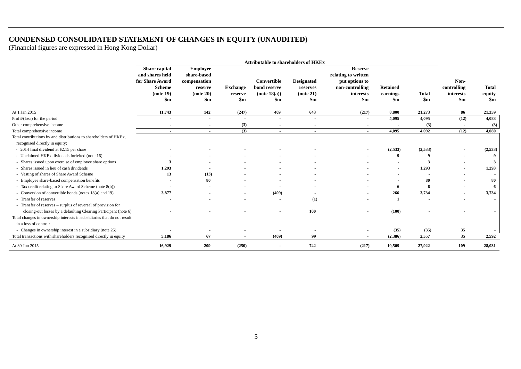# **CONDENSED CONSOLIDATED STATEMENT OF CHANGES IN EQUITY (UNAUDITED)**

|                                                                         | <b>Attributable to shareholders of HKEx</b> |                                |                          |                |                          |                                       |                          |               |               |                          |
|-------------------------------------------------------------------------|---------------------------------------------|--------------------------------|--------------------------|----------------|--------------------------|---------------------------------------|--------------------------|---------------|---------------|--------------------------|
|                                                                         | Share capital<br>and shares held            | <b>Employee</b><br>share-based |                          |                |                          | <b>Reserve</b><br>relating to written |                          |               |               |                          |
|                                                                         | for Share Award                             | compensation                   |                          | Convertible    | <b>Designated</b>        | put options to                        |                          |               | Non-          |                          |
|                                                                         | <b>Scheme</b>                               | reserve                        | <b>Exchange</b>          | bond reserve   | reserves                 | non-controlling                       | <b>Retained</b>          |               | controlling   | <b>Total</b>             |
|                                                                         | (note 19)                                   | (note 20)                      | reserve                  | (note 18(a))   | (note 21)                | interests                             | earnings                 | <b>Total</b>  | interests     | equity                   |
|                                                                         | $\mathbf{Sm}$                               | $\mathbf{\$m}$                 | $\mathbf{Sm}$            | \$m            | $\mathbf{Sm}$            | $\mathbf{Sm}$                         | \$m                      | $\mathbf{Sm}$ | $\mathbf{Sm}$ | $\mathbf{Sm}$            |
| At 1 Jan 2015                                                           | 11,743                                      | 142                            | (247)                    | 409            | 643                      | (217)                                 | 8,800                    | 21,273        | 86            | 21,359                   |
| Profit/(loss) for the period                                            |                                             | $\blacksquare$                 |                          | $\blacksquare$ |                          | $\blacksquare$                        | 4,095                    | 4,095         | (12)          | 4,083                    |
| Other comprehensive income                                              | $\blacksquare$                              | $\overline{\phantom{a}}$       | (3)                      | $\blacksquare$ | $\blacksquare$           | $\blacksquare$                        | $\overline{\phantom{a}}$ | (3)           | $\sim$        | (3)                      |
| Total comprehensive income                                              | $\blacksquare$                              | $\blacksquare$                 | (3)                      | $\blacksquare$ | $\overline{\phantom{a}}$ | $\blacksquare$                        | 4.095                    | 4.092         | (12)          | 4.080                    |
| Total contributions by and distributions to shareholders of HKEx,       |                                             |                                |                          |                |                          |                                       |                          |               |               |                          |
| recognised directly in equity:                                          |                                             |                                |                          |                |                          |                                       |                          |               |               |                          |
| - 2014 final dividend at \$2.15 per share                               |                                             |                                |                          |                |                          |                                       | (2,533)                  | (2,533)       |               | (2,533)                  |
| - Unclaimed HKEx dividends forfeited (note 16)                          |                                             |                                |                          |                |                          |                                       | 9                        |               |               | 9                        |
| - Shares issued upon exercise of employee share options                 | $\mathbf{3}$                                |                                |                          |                |                          |                                       |                          | 3             |               | 3                        |
| - Shares issued in lieu of cash dividends                               | 1,293                                       |                                |                          |                |                          |                                       |                          | 1,293         |               | 1,293                    |
| - Vesting of shares of Share Award Scheme                               | 13                                          | (13)                           |                          |                |                          |                                       |                          |               |               |                          |
| - Employee share-based compensation benefits                            | $\overline{\phantom{0}}$                    | 80                             |                          |                |                          |                                       |                          | 80            |               | 80                       |
| - Tax credit relating to Share Award Scheme (note 8(b))                 |                                             |                                |                          |                |                          |                                       | 6                        | 6             |               | 6                        |
| - Conversion of convertible bonds (notes 18(a) and 19)                  | 3,877                                       |                                |                          | (409)          |                          |                                       | 266                      | 3,734         |               | 3,734                    |
| - Transfer of reserves                                                  |                                             |                                |                          | $\blacksquare$ | (1)                      |                                       | -1                       |               | ۰             | $\overline{\phantom{a}}$ |
| - Transfer of reserves – surplus of reversal of provision for           |                                             |                                |                          |                |                          |                                       |                          |               |               |                          |
| closing-out losses by a defaulting Clearing Participant (note 6)        |                                             |                                |                          |                | 100                      |                                       | (100)                    |               |               |                          |
| Total changes in ownership interests in subsidiaries that do not result |                                             |                                |                          |                |                          |                                       |                          |               |               |                          |
| in a loss of control:                                                   |                                             |                                |                          |                |                          |                                       |                          |               |               |                          |
| - Changes in ownership interest in a subsidiary (note 25)               | $\blacksquare$                              | $\overline{\phantom{a}}$       | $\sim$                   | $\blacksquare$ | $\blacksquare$           | $\blacksquare$                        | (35)                     | (35)          | 35            | $\blacksquare$           |
| Total transactions with shareholders recognised directly in equity      | 5,186                                       | 67                             | $\overline{\phantom{a}}$ | (409)          | 99                       | $\overline{\phantom{a}}$              | (2,386)                  | 2,557         | 35            | 2,592                    |
| At 30 Jun 2015                                                          | 16,929                                      | 209                            | (250)                    | $\blacksquare$ | 742                      | (217)                                 | 10,509                   | 27,922        | 109           | 28,031                   |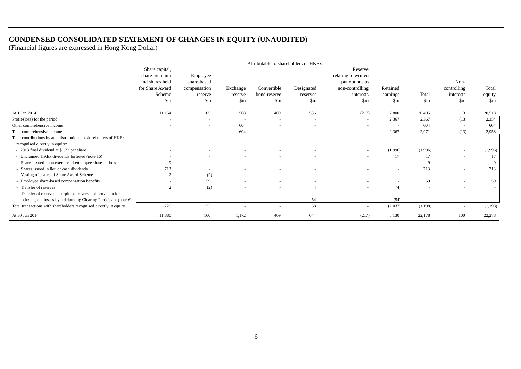# **CONDENSED CONSOLIDATED STATEMENT OF CHANGES IN EQUITY (UNAUDITED)**

|                                                                    |                          |                          |                        | Attributable to shareholders of HKEx |                          |                          |                          |                        |                          |                          |
|--------------------------------------------------------------------|--------------------------|--------------------------|------------------------|--------------------------------------|--------------------------|--------------------------|--------------------------|------------------------|--------------------------|--------------------------|
|                                                                    | Share capital,           |                          |                        |                                      |                          | Reserve                  |                          |                        |                          |                          |
|                                                                    | share premium            | Employee                 |                        |                                      |                          | relating to written      |                          |                        |                          |                          |
|                                                                    | and shares held          | share-based              |                        |                                      |                          | put options to           |                          |                        | Non-                     |                          |
|                                                                    | for Share Award          | compensation             | Exchange               | Convertible                          | Designated               | non-controlling          | Retained                 |                        | controlling              | Total                    |
|                                                                    | Scheme                   | reserve                  | reserve                | bond reserve                         | reserves                 | interests                | earnings                 | Total                  | interests                | equity                   |
|                                                                    | \$m                      | $\mathop{\mathrm{Sm}}$   | $\mathop{\mathrm{Sm}}$ | $\mathop{\mathrm{Sm}}$               | $\mathop{\mathrm{Sm}}$   | $\mathop{\mathrm{Sm}}$   | $\mathop{\mathrm{Sm}}$   | $\mathop{\mathrm{Sm}}$ | $\mathop{\mathrm{Sm}}$   | \$m                      |
|                                                                    |                          |                          |                        |                                      |                          |                          |                          |                        |                          |                          |
| At 1 Jan 2014                                                      | 11,154                   | 105                      | 568                    | 409                                  | 586                      | (217)                    | 7,800                    | 20,405                 | 113                      | 20,518                   |
| Profit/(loss) for the period                                       | $\overline{\phantom{a}}$ | $\overline{a}$           | ٠                      | $\sim$                               | $\overline{\phantom{a}}$ | $\overline{\phantom{a}}$ | 2,367                    | 2,367                  | (13)                     | 2,354                    |
| Other comprehensive income                                         |                          | $\overline{\phantom{a}}$ | 604                    | $\sim$                               | $\overline{\phantom{a}}$ | $\overline{\phantom{a}}$ | $\overline{\phantom{a}}$ | 604                    | $\sim$                   | 604                      |
| Total comprehensive income                                         | $\sim$                   | $\sim$                   | 604                    | $\sim$                               | $\sim$                   | $\sim$                   | 2,367                    | 2,971                  | (13)                     | 2,958                    |
| Total contributions by and distributions to shareholders of HKEx,  |                          |                          |                        |                                      |                          |                          |                          |                        |                          |                          |
| recognised directly in equity:                                     |                          |                          |                        |                                      |                          |                          |                          |                        |                          |                          |
| - 2013 final dividend at \$1.72 per share                          |                          |                          |                        |                                      |                          | $\overline{\phantom{a}}$ | (1,996)                  | (1,996)                |                          | (1,996)                  |
| - Unclaimed HKEx dividends forfeited (note 16)                     |                          |                          |                        |                                      |                          |                          | 17                       | 17                     | $\sim$                   | 17                       |
| - Shares issued upon exercise of employee share options            | 9                        |                          |                        |                                      |                          |                          | $\overline{\phantom{a}}$ | 9                      | $\sim$                   | 9                        |
| - Shares issued in lieu of cash dividends                          | 713                      |                          |                        |                                      |                          |                          | $\overline{\phantom{a}}$ | 713                    | ٠                        | 713                      |
| - Vesting of shares of Share Award Scheme                          | $\overline{2}$           | (2)                      |                        |                                      |                          |                          |                          |                        | $\overline{\phantom{a}}$ |                          |
| - Employee share-based compensation benefits                       |                          | 59                       |                        |                                      |                          |                          | $\overline{\phantom{a}}$ | 59                     | ٠                        | 59                       |
| - Transfer of reserves                                             | $\overline{c}$           | (2)                      |                        |                                      |                          |                          | (4)                      |                        |                          | $\overline{\phantom{a}}$ |
| - Transfer of reserves – surplus of reversal of provision for      |                          |                          |                        |                                      |                          |                          |                          |                        |                          |                          |
| closing-out losses by a defaulting Clearing Participant (note 6)   |                          |                          |                        |                                      | 54                       |                          | (54)                     |                        |                          |                          |
| Total transactions with shareholders recognised directly in equity | 726                      | 55                       | $\sim$                 | $\sim$                               | 58                       | $\overline{\phantom{a}}$ | (2,037)                  | (1,198)                | $\sim$                   | (1,198)                  |
| At 30 Jun 2014                                                     | 11,880                   | 160                      | 1,172                  | 409                                  | 644                      | (217)                    | 8,130                    | 22,178                 | 100                      | 22,278                   |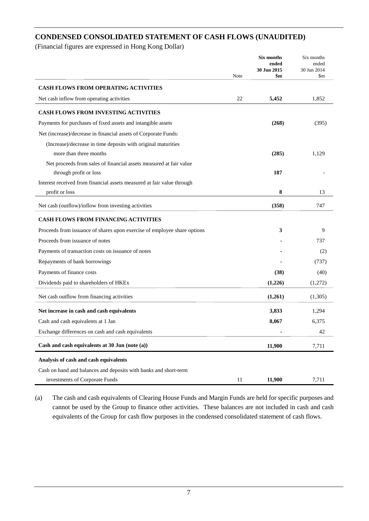# **CONDENSED CONSOLIDATED STATEMENT OF CASH FLOWS (UNAUDITED)**

(Financial figures are expressed in Hong Kong Dollar)

|                                                                          |      | Six months<br>ended | Six months<br>ended           |
|--------------------------------------------------------------------------|------|---------------------|-------------------------------|
|                                                                          | Note | 30 Jun 2015<br>\$m  | 30 Jun 2014<br>$\mathfrak{m}$ |
| <b>CASH FLOWS FROM OPERATING ACTIVITIES</b>                              |      |                     |                               |
| Net cash inflow from operating activities                                | 22   | 5,452               | 1,852                         |
| <b>CASH FLOWS FROM INVESTING ACTIVITIES</b>                              |      |                     |                               |
| Payments for purchases of fixed assets and intangible assets             |      | (268)               | (395)                         |
| Net (increase)/decrease in financial assets of Corporate Funds:          |      |                     |                               |
| (Increase)/decrease in time deposits with original maturities            |      |                     |                               |
| more than three months                                                   |      | (285)               | 1,129                         |
| Net proceeds from sales of financial assets measured at fair value       |      |                     |                               |
| through profit or loss                                                   |      | 187                 |                               |
| Interest received from financial assets measured at fair value through   |      |                     |                               |
| profit or loss                                                           |      | 8                   | 13                            |
| Net cash (outflow)/inflow from investing activities                      |      | (358)               | 747                           |
| <b>CASH FLOWS FROM FINANCING ACTIVITIES</b>                              |      |                     |                               |
| Proceeds from issuance of shares upon exercise of employee share options |      | 3                   | 9                             |
| Proceeds from issuance of notes                                          |      |                     | 737                           |
| Payments of transaction costs on issuance of notes                       |      |                     | (2)                           |
| Repayments of bank borrowings                                            |      |                     | (737)                         |
| Payments of finance costs                                                |      | (38)                | (40)                          |
| Dividends paid to shareholders of HKEx                                   |      | (1,226)             | (1,272)                       |
| Net cash outflow from financing activities                               |      | (1,261)             | (1,305)                       |
| Net increase in cash and cash equivalents                                |      | 3,833               | 1,294                         |
| Cash and cash equivalents at 1 Jan                                       |      | 8,067               | 6,375                         |
| Exchange differences on cash and cash equivalents                        |      |                     | 42                            |
| Cash and cash equivalents at 30 Jun (note (a))                           |      | 11,900              | 7,711                         |
| Analysis of cash and cash equivalents                                    |      |                     |                               |
| Cash on hand and balances and deposits with banks and short-term         |      |                     |                               |
| investments of Corporate Funds                                           | 11   | 11,900              | 7,711                         |

(a) The cash and cash equivalents of Clearing House Funds and Margin Funds are held for specific purposes and cannot be used by the Group to finance other activities. These balances are not included in cash and cash equivalents of the Group for cash flow purposes in the condensed consolidated statement of cash flows.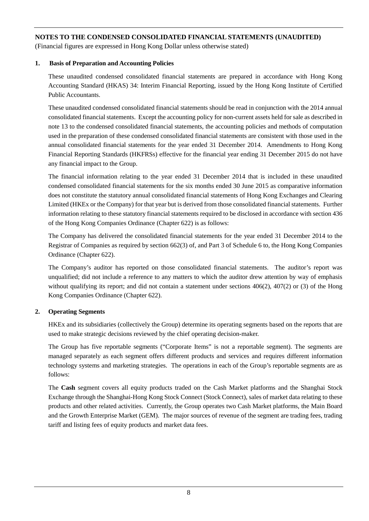(Financial figures are expressed in Hong Kong Dollar unless otherwise stated)

## **1. Basis of Preparation and Accounting Policies**

These unaudited condensed consolidated financial statements are prepared in accordance with Hong Kong Accounting Standard (HKAS) 34: Interim Financial Reporting, issued by the Hong Kong Institute of Certified Public Accountants.

These unaudited condensed consolidated financial statements should be read in conjunction with the 2014 annual consolidated financial statements. Except the accounting policy for non-current assets held for sale as described in note 13 to the condensed consolidated financial statements, the accounting policies and methods of computation used in the preparation of these condensed consolidated financial statements are consistent with those used in the annual consolidated financial statements for the year ended 31 December 2014. Amendments to Hong Kong Financial Reporting Standards (HKFRSs) effective for the financial year ending 31 December 2015 do not have any financial impact to the Group.

The financial information relating to the year ended 31 December 2014 that is included in these unaudited condensed consolidated financial statements for the six months ended 30 June 2015 as comparative information does not constitute the statutory annual consolidated financial statements of Hong Kong Exchanges and Clearing Limited (HKEx or the Company) for that year but is derived from those consolidated financial statements. Further information relating to these statutory financial statements required to be disclosed in accordance with section 436 of the Hong Kong Companies Ordinance (Chapter 622) is as follows:

The Company has delivered the consolidated financial statements for the year ended 31 December 2014 to the Registrar of Companies as required by section 662(3) of, and Part 3 of Schedule 6 to, the Hong Kong Companies Ordinance (Chapter 622).

The Company's auditor has reported on those consolidated financial statements. The auditor's report was unqualified; did not include a reference to any matters to which the auditor drew attention by way of emphasis without qualifying its report; and did not contain a statement under sections 406(2), 407(2) or (3) of the Hong Kong Companies Ordinance (Chapter 622).

## **2. Operating Segments**

HKEx and its subsidiaries (collectively the Group) determine its operating segments based on the reports that are used to make strategic decisions reviewed by the chief operating decision-maker.

The Group has five reportable segments ("Corporate Items" is not a reportable segment). The segments are managed separately as each segment offers different products and services and requires different information technology systems and marketing strategies. The operations in each of the Group's reportable segments are as follows:

The **Cash** segment covers all equity products traded on the Cash Market platforms and the Shanghai Stock Exchange through the Shanghai-Hong Kong Stock Connect (Stock Connect), sales of market data relating to these products and other related activities. Currently, the Group operates two Cash Market platforms, the Main Board and the Growth Enterprise Market (GEM). The major sources of revenue of the segment are trading fees, trading tariff and listing fees of equity products and market data fees.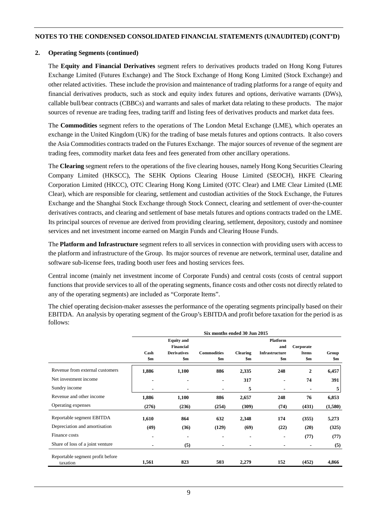### **2. Operating Segments (continued)**

The **Equity and Financial Derivatives** segment refers to derivatives products traded on Hong Kong Futures Exchange Limited (Futures Exchange) and The Stock Exchange of Hong Kong Limited (Stock Exchange) and other related activities. These include the provision and maintenance of trading platforms for a range of equity and financial derivatives products, such as stock and equity index futures and options, derivative warrants (DWs), callable bull/bear contracts (CBBCs) and warrants and sales of market data relating to these products. The major sources of revenue are trading fees, trading tariff and listing fees of derivatives products and market data fees.

The **Commodities** segment refers to the operations of The London Metal Exchange (LME), which operates an exchange in the United Kingdom (UK) for the trading of base metals futures and options contracts. It also covers the Asia Commodities contracts traded on the Futures Exchange. The major sources of revenue of the segment are trading fees, commodity market data fees and fees generated from other ancillary operations.

The **Clearing** segment refers to the operations of the five clearing houses, namely Hong Kong Securities Clearing Company Limited (HKSCC), The SEHK Options Clearing House Limited (SEOCH), HKFE Clearing Corporation Limited (HKCC), OTC Clearing Hong Kong Limited (OTC Clear) and LME Clear Limited (LME Clear), which are responsible for clearing, settlement and custodian activities of the Stock Exchange, the Futures Exchange and the Shanghai Stock Exchange through Stock Connect, clearing and settlement of over-the-counter derivatives contracts, and clearing and settlement of base metals futures and options contracts traded on the LME. Its principal sources of revenue are derived from providing clearing, settlement, depository, custody and nominee services and net investment income earned on Margin Funds and Clearing House Funds.

The **Platform and Infrastructure** segment refers to all services in connection with providing users with access to the platform and infrastructure of the Group. Its major sources of revenue are network, terminal user, dataline and software sub-license fees, trading booth user fees and hosting services fees.

Central income (mainly net investment income of Corporate Funds) and central costs (costs of central support functions that provide services to all of the operating segments, finance costs and other costs not directly related to any of the operating segments) are included as "Corporate Items".

The chief operating decision-maker assesses the performance of the operating segments principally based on their EBITDA. An analysis by operating segment of the Group's EBITDA and profit before taxation for the period is as follows:

|                                              |                |                    | Six months ended 30 Jun 2015 |                 |                 |                  |         |
|----------------------------------------------|----------------|--------------------|------------------------------|-----------------|-----------------|------------------|---------|
|                                              |                | <b>Equity</b> and  |                              |                 | <b>Platform</b> |                  |         |
|                                              |                | <b>Financial</b>   |                              |                 | and             | Corporate        |         |
|                                              | Cash           | <b>Derivatives</b> | <b>Commodities</b>           | <b>Clearing</b> | Infrastructure  | <b>Items</b>     | Group   |
|                                              | $\mathbf{\$m}$ | $\mathbf{\$m}$     | $\mathbf{\$m}$               | $\mathbf{\$m}$  | $\mathbf{Sm}$   | $\mathbf{\$m}$   | \$m     |
| Revenue from external customers              | 1,886          | 1,100              | 886                          | 2,335           | 248             | $\boldsymbol{2}$ | 6,457   |
| Net investment income                        | $\blacksquare$ | $\blacksquare$     | $\blacksquare$               | 317             | $\blacksquare$  | 74               | 391     |
| Sundry income                                | $\blacksquare$ | $\blacksquare$     | $\blacksquare$               | 5               | ٠               | $\blacksquare$   | 5       |
| Revenue and other income                     | 1,886          | 1,100              | 886                          | 2,657           | 248             | 76               | 6,853   |
| Operating expenses                           | (276)          | (236)              | (254)                        | (309)           | (74)            | (431)            | (1,580) |
| Reportable segment EBITDA                    | 1,610          | 864                | 632                          | 2,348           | 174             | (355)            | 5,273   |
| Depreciation and amortisation                | (49)           | (36)               | (129)                        | (69)            | (22)            | (20)             | (325)   |
| Finance costs                                | $\blacksquare$ | $\blacksquare$     | $\blacksquare$               | $\blacksquare$  |                 | (77)             | (77)    |
| Share of loss of a joint venture             | ٠              | (5)                | $\blacksquare$               | $\blacksquare$  | ٠               | $\blacksquare$   | (5)     |
| Reportable segment profit before<br>taxation | 1,561          | 823                | 503                          | 2,279           | 152             | (452)            | 4,866   |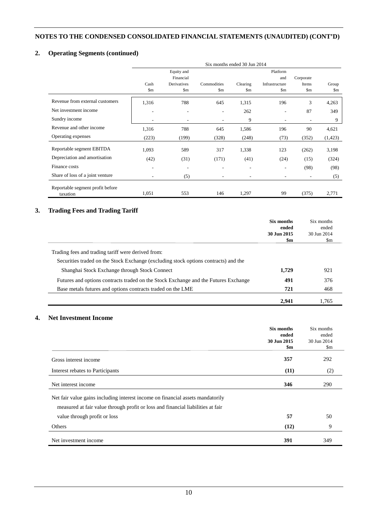## **2. Operating Segments (continued)**

|                                  | Six months ended 30 Jun 2014 |                        |                          |                  |                          |                          |                  |
|----------------------------------|------------------------------|------------------------|--------------------------|------------------|--------------------------|--------------------------|------------------|
|                                  |                              | Equity and             |                          |                  | Platform                 |                          |                  |
|                                  |                              | Financial              |                          |                  | and                      | Corporate                |                  |
|                                  | Cash                         | Derivatives            | Commodities              | Clearing         | Infrastructure           | Items                    | Group            |
|                                  | \$m                          | $\mathop{\mathrm{Sm}}$ | $\mathop{\mathrm{Sm}}$   | $\mathbb{S}_{m}$ | $\mathop{\mathrm{Sm}}$   | $\mathbf{Sm}$            | $\mathbb{S}_{m}$ |
| Revenue from external customers  | 1,316                        | 788                    | 645                      | 1,315            | 196                      | 3                        | 4,263            |
| Net investment income            | ۰.                           | ۰.                     | $\overline{\phantom{a}}$ | 262              | ۰                        | 87                       | 349              |
| Sundry income                    | ۰.                           | -                      | $\overline{\phantom{a}}$ | 9                | $\overline{\phantom{a}}$ | ٠                        | 9                |
| Revenue and other income         | 1,316                        | 788                    | 645                      | 1,586            | 196                      | 90                       | 4,621            |
| Operating expenses               | (223)                        | (199)                  | (328)                    | (248)            | (73)                     | (352)                    | (1,423)          |
| Reportable segment EBITDA        | 1,093                        | 589                    | 317                      | 1,338            | 123                      | (262)                    | 3,198            |
| Depreciation and amortisation    | (42)                         | (31)                   | (171)                    | (41)             | (24)                     | (15)                     | (324)            |
| Finance costs                    | ٠                            | ۰.                     | ٠                        | ۰                | $\overline{\phantom{a}}$ | (98)                     | (98)             |
| Share of loss of a joint venture | ٠                            | (5)                    | ٠                        |                  |                          | $\overline{\phantom{a}}$ | (5)              |
| Reportable segment profit before |                              |                        |                          |                  |                          |                          |                  |
| taxation                         | 1,051                        | 553                    | 146                      | 1,297            | 99                       | (375)                    | 2,771            |

# **3. Trading Fees and Trading Tariff**

|                                                                                     | Six months<br>ended<br>30 Jun 2015<br>\$m | Six months<br>ended<br>30 Jun 2014<br>\$m |
|-------------------------------------------------------------------------------------|-------------------------------------------|-------------------------------------------|
| Trading fees and trading tariff were derived from:                                  |                                           |                                           |
| Securities traded on the Stock Exchange (excluding stock options contracts) and the |                                           |                                           |
| Shanghai Stock Exchange through Stock Connect                                       | 1,729                                     | 921                                       |
| Futures and options contracts traded on the Stock Exchange and the Futures Exchange | 491                                       | 376                                       |
| Base metals futures and options contracts traded on the LME                         | 721                                       | 468                                       |
|                                                                                     | 2.941                                     | 1.765                                     |

# **4. Net Investment Income**

|                                                                                 | Six months<br>ended<br>30 Jun 2015<br>$\mathbf{\$m}$ | Six months<br>ended<br>30 Jun 2014<br>$\mathop{\mathrm{Sm}}$ |
|---------------------------------------------------------------------------------|------------------------------------------------------|--------------------------------------------------------------|
| Gross interest income                                                           | 357                                                  | 292                                                          |
| Interest rebates to Participants                                                | (11)                                                 | (2)                                                          |
| Net interest income                                                             | 346                                                  | 290                                                          |
| Net fair value gains including interest income on financial assets mandatorily  |                                                      |                                                              |
| measured at fair value through profit or loss and financial liabilities at fair |                                                      |                                                              |
| value through profit or loss                                                    | 57                                                   | 50                                                           |
| Others                                                                          | (12)                                                 | 9                                                            |
| Net investment income                                                           | 391                                                  | 349                                                          |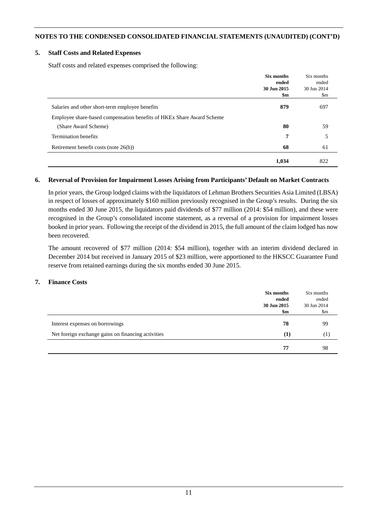### **5. Staff Costs and Related Expenses**

Staff costs and related expenses comprised the following:

|                                                                       | Six months<br>ended | Six months<br>ended |
|-----------------------------------------------------------------------|---------------------|---------------------|
|                                                                       | 30 Jun 2015         | 30 Jun 2014         |
|                                                                       | \$m                 | \$m                 |
| Salaries and other short-term employee benefits                       | 879                 | 697                 |
| Employee share-based compensation benefits of HKEx Share Award Scheme |                     |                     |
| (Share Award Scheme)                                                  | 80                  | 59                  |
| Termination benefits                                                  | 7                   | 5                   |
| Retirement benefit costs (note 26(b))                                 | 68                  | 61                  |
|                                                                       | 1,034               | 822                 |

#### **6. Reversal of Provision for Impairment Losses Arising from Participants' Default on Market Contracts**

In prior years, the Group lodged claims with the liquidators of Lehman Brothers Securities Asia Limited (LBSA) in respect of losses of approximately \$160 million previously recognised in the Group's results. During the six months ended 30 June 2015, the liquidators paid dividends of \$77 million (2014: \$54 million), and these were recognised in the Group's consolidated income statement, as a reversal of a provision for impairment losses booked in prior years. Following the receipt of the dividend in 2015, the full amount of the claim lodged has now been recovered.

The amount recovered of \$77 million (2014: \$54 million), together with an interim dividend declared in December 2014 but received in January 2015 of \$23 million, were apportioned to the HKSCC Guarantee Fund reserve from retained earnings during the six months ended 30 June 2015.

#### **7. Finance Costs**

|                                                    | Six months<br>ended<br>30 Jun 2015 | Six months<br>ended<br>30 Jun 2014 |
|----------------------------------------------------|------------------------------------|------------------------------------|
| Interest expenses on borrowings                    | \$m<br>78                          | $\mathsf{Sm}$<br>99                |
| Net foreign exchange gains on financing activities | $\rm(1)$                           | $^{(1)}$                           |
|                                                    | 77                                 | 98                                 |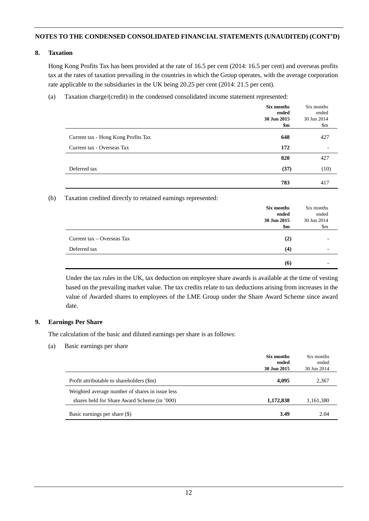#### **8. Taxation**

Hong Kong Profits Tax has been provided at the rate of 16.5 per cent (2014: 16.5 per cent) and overseas profits tax at the rates of taxation prevailing in the countries in which the Group operates, with the average corporation rate applicable to the subsidiaries in the UK being 20.25 per cent (2014: 21.5 per cent).

(a) Taxation charge/(credit) in the condensed consolidated income statement represented:

|                                     | Six months<br>ended<br>30 Jun 2015<br>$\mathbf{\$m}$ | Six months<br>ended<br>30 Jun 2014<br>$\mathbb{S}_{m}$ |
|-------------------------------------|------------------------------------------------------|--------------------------------------------------------|
| Current tax - Hong Kong Profits Tax | 648                                                  | 427                                                    |
| Current tax - Overseas Tax          | 172                                                  |                                                        |
|                                     | 820                                                  | 427                                                    |
| Deferred tax                        | (37)                                                 | (10)                                                   |
|                                     | 783                                                  | 417                                                    |

(b) Taxation credited directly to retained earnings represented:

|                              | Six months<br>ended<br>30 Jun 2015<br>\$m | Six months<br>ended<br>30 Jun 2014<br>$\mathop{\mathrm{Sm}}$ |
|------------------------------|-------------------------------------------|--------------------------------------------------------------|
| Current $tax - Overseas Tax$ | (2)                                       |                                                              |
| Deferred tax                 | (4)                                       |                                                              |
|                              | (6)                                       |                                                              |

Under the tax rules in the UK, tax deduction on employee share awards is available at the time of vesting based on the prevailing market value. The tax credits relate to tax deductions arising from increases in the value of Awarded shares to employees of the LME Group under the Share Award Scheme since award date.

## **9. Earnings Per Share**

The calculation of the basic and diluted earnings per share is as follows:

(a) Basic earnings per share

|                                                 | Six months<br>ended | Six months<br>ended |
|-------------------------------------------------|---------------------|---------------------|
|                                                 | 30 Jun 2015         | 30 Jun 2014         |
| Profit attributable to shareholders (\$m)       | 4,095               | 2,367               |
| Weighted average number of shares in issue less |                     |                     |
| shares held for Share Award Scheme (in '000)    | 1,172,838           | 1,161,380           |
| Basic earnings per share (\$)                   | 3.49                | 2.04                |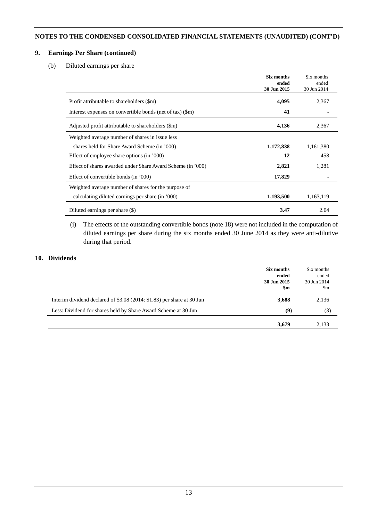## **9. Earnings Per Share (continued)**

(b) Diluted earnings per share

|                                                             | <b>Six months</b> | Six months  |
|-------------------------------------------------------------|-------------------|-------------|
|                                                             | ended             | ended       |
|                                                             | 30 Jun 2015       | 30 Jun 2014 |
| Profit attributable to shareholders (\$m)                   | 4,095             | 2,367       |
| Interest expenses on convertible bonds (net of tax) (\$m)   | 41                |             |
| Adjusted profit attributable to shareholders (\$m)          | 4,136             | 2,367       |
| Weighted average number of shares in issue less             |                   |             |
| shares held for Share Award Scheme (in '000)                | 1,172,838         | 1,161,380   |
| Effect of employee share options (in '000)                  | 12                | 458         |
| Effect of shares awarded under Share Award Scheme (in '000) | 2,821             | 1,281       |
| Effect of convertible bonds (in '000)                       | 17,829            |             |
| Weighted average number of shares for the purpose of        |                   |             |
| calculating diluted earnings per share (in '000)            | 1,193,500         | 1,163,119   |
| Diluted earnings per share (\$)                             | 3.47              | 2.04        |

(i) The effects of the outstanding convertible bonds (note 18) were not included in the computation of diluted earnings per share during the six months ended 30 June 2014 as they were anti-dilutive during that period.

## **10. Dividends**

|                                                                        | Six months<br>ended<br>30 Jun 2015 | Six months<br>ended<br>30 Jun 2014 |
|------------------------------------------------------------------------|------------------------------------|------------------------------------|
| Interim dividend declared of \$3.08 (2014: \$1.83) per share at 30 Jun | \$m<br>3,688                       | $\mathop{\mathrm{Sm}}$<br>2,136    |
| Less: Dividend for shares held by Share Award Scheme at 30 Jun         | (9)                                | (3)                                |
|                                                                        | 3,679                              | 2,133                              |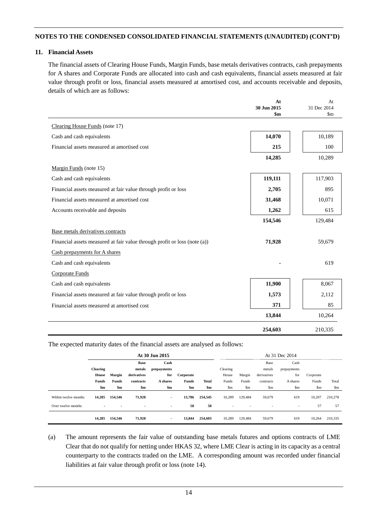## **11. Financial Assets**

The financial assets of Clearing House Funds, Margin Funds, base metals derivatives contracts, cash prepayments for A shares and Corporate Funds are allocated into cash and cash equivalents, financial assets measured at fair value through profit or loss, financial assets measured at amortised cost, and accounts receivable and deposits, details of which are as follows:

**At**

|                                                                           | At<br>30 Jun 2015<br>$\mathbf{Sm}$ | At<br>31 Dec 2014<br>$\mathsf{Sm}$ |
|---------------------------------------------------------------------------|------------------------------------|------------------------------------|
| Clearing House Funds (note 17)                                            |                                    |                                    |
| Cash and cash equivalents                                                 | 14,070                             | 10,189                             |
| Financial assets measured at amortised cost                               | 215                                | 100                                |
|                                                                           | 14,285                             | 10,289                             |
| Margin Funds (note 15)                                                    |                                    |                                    |
| Cash and cash equivalents                                                 | 119,111                            | 117,903                            |
| Financial assets measured at fair value through profit or loss            | 2,705                              | 895                                |
| Financial assets measured at amortised cost                               | 31,468                             | 10,071                             |
| Accounts receivable and deposits                                          | 1,262                              | 615                                |
|                                                                           | 154,546                            | 129,484                            |
| Base metals derivatives contracts                                         |                                    |                                    |
| Financial assets measured at fair value through profit or loss (note (a)) | 71,928                             | 59,679                             |
| Cash prepayments for A shares                                             |                                    |                                    |
| Cash and cash equivalents                                                 |                                    | 619                                |
| Corporate Funds                                                           |                                    |                                    |
| Cash and cash equivalents                                                 | 11,900                             | 8,067                              |
| Financial assets measured at fair value through profit or loss            | 1,573                              | 2,112                              |
| Financial assets measured at amortised cost                               | 371                                | 85                                 |
|                                                                           | 13,844                             | 10,264                             |
|                                                                           | 254,603                            | 210,335                            |

The expected maturity dates of the financial assets are analysed as follows:

|                      |                 |                          |                          | At 30 Jun 2015           |               |              |                          |         |                          | At 31 Dec 2014           |           |               |
|----------------------|-----------------|--------------------------|--------------------------|--------------------------|---------------|--------------|--------------------------|---------|--------------------------|--------------------------|-----------|---------------|
|                      |                 |                          | <b>Base</b>              | Cash                     |               |              |                          |         | Base                     | Cash                     |           |               |
|                      | <b>Clearing</b> |                          | metals                   | prepayments              |               |              | Clearing                 |         | metals                   | prepayments              |           |               |
|                      | House           | Margin                   | derivatives              | for                      | Corporate     |              | House                    | Margin  | derivatives              | for                      | Corporate |               |
|                      | Funds           | <b>Funds</b>             | contracts                | A shares                 | <b>Funds</b>  | <b>Total</b> | Funds                    | Funds   | contracts                | A shares                 | Funds     | Total         |
|                      | \$m             | \$m                      | \$m                      | $\mathbf{Sm}$            | $\mathbf{Sm}$ | \$m          | \$m                      | \$m     | \$m                      | $\mathbf{Sm}$            | \$m       | $\mathbf{Sm}$ |
| Within twelve months | 14,285          | 154.546                  | 71,928                   | ٠.                       | 13,786        | 254,545      | 10,289                   | 129.484 | 59,679                   | 619                      | 10,207    | 210,278       |
| Over twelve months   | $\blacksquare$  | $\overline{\phantom{a}}$ | $\overline{\phantom{a}}$ | $\blacksquare$           | 58            | 58           | $\overline{\phantom{a}}$ | ٠       | $\overline{\phantom{a}}$ | $\overline{\phantom{a}}$ | 57        | 57            |
|                      | 14,285          | 154,546                  | 71,928                   | $\overline{\phantom{a}}$ | 13,844        | 254,603      | 10,289                   | 129,484 | 59,679                   | 619                      | 10,264    | 210,335       |

(a) The amount represents the fair value of outstanding base metals futures and options contracts of LME Clear that do not qualify for netting under HKAS 32, where LME Clear is acting in its capacity as a central counterparty to the contracts traded on the LME. A corresponding amount was recorded under financial liabilities at fair value through profit or loss (note 14).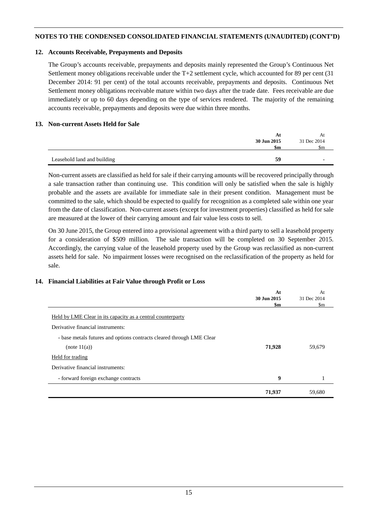### **12. Accounts Receivable, Prepayments and Deposits**

The Group's accounts receivable, prepayments and deposits mainly represented the Group's Continuous Net Settlement money obligations receivable under the T+2 settlement cycle, which accounted for 89 per cent (31 December 2014: 91 per cent) of the total accounts receivable, prepayments and deposits. Continuous Net Settlement money obligations receivable mature within two days after the trade date. Fees receivable are due immediately or up to 60 days depending on the type of services rendered. The majority of the remaining accounts receivable, prepayments and deposits were due within three months.

### **13. Non-current Assets Held for Sale**

|                             | Αt          | Αt          |
|-----------------------------|-------------|-------------|
|                             | 30 Jun 2015 | 31 Dec 2014 |
|                             | \$m         | Sm          |
|                             |             |             |
| Leasehold land and building | 59          |             |

Non-current assets are classified as held for sale if their carrying amounts will be recovered principally through a sale transaction rather than continuing use. This condition will only be satisfied when the sale is highly probable and the assets are available for immediate sale in their present condition. Management must be committed to the sale, which should be expected to qualify for recognition as a completed sale within one year from the date of classification. Non-current assets (except for investment properties) classified as held for sale are measured at the lower of their carrying amount and fair value less costs to sell.

On 30 June 2015, the Group entered into a provisional agreement with a third party to sell a leasehold property for a consideration of \$509 million. The sale transaction will be completed on 30 September 2015. Accordingly, the carrying value of the leasehold property used by the Group was reclassified as non-current assets held for sale. No impairment losses were recognised on the reclassification of the property as held for sale.

## **14. Financial Liabilities at Fair Value through Profit or Loss**

|                                                                       | At          | At          |
|-----------------------------------------------------------------------|-------------|-------------|
|                                                                       | 30 Jun 2015 | 31 Dec 2014 |
|                                                                       | \$m         | $\rm{Sm}$   |
| Held by LME Clear in its capacity as a central counterparty           |             |             |
| Derivative financial instruments:                                     |             |             |
| - base metals futures and options contracts cleared through LME Clear |             |             |
| (note 11(a))                                                          | 71,928      | 59,679      |
| Held for trading                                                      |             |             |
| Derivative financial instruments:                                     |             |             |
| - forward foreign exchange contracts                                  | 9           |             |
|                                                                       | 71,937      | 59,680      |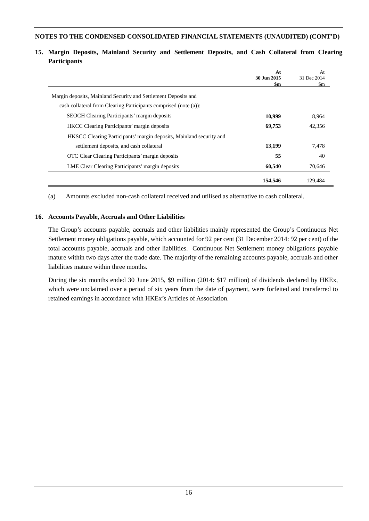|                                                                     | At<br>30 Jun 2015<br>\$m | At<br>31 Dec 2014<br>$\mathbf{Sm}$ |
|---------------------------------------------------------------------|--------------------------|------------------------------------|
| Margin deposits, Mainland Security and Settlement Deposits and      |                          |                                    |
| cash collateral from Clearing Participants comprised (note (a)):    |                          |                                    |
| <b>SEOCH</b> Clearing Participants' margin deposits                 | 10,999                   | 8.964                              |
| <b>HKCC</b> Clearing Participants' margin deposits                  | 69,753                   | 42.356                             |
| HKSCC Clearing Participants' margin deposits, Mainland security and |                          |                                    |
| settlement deposits, and cash collateral                            | 13,199                   | 7.478                              |
| OTC Clear Clearing Participants' margin deposits                    | 55                       | 40                                 |
| LME Clear Clearing Participants' margin deposits                    | 60,540                   | 70,646                             |
|                                                                     | 154,546                  | 129.484                            |

## **15. Margin Deposits, Mainland Security and Settlement Deposits, and Cash Collateral from Clearing Participants**

(a) Amounts excluded non-cash collateral received and utilised as alternative to cash collateral.

## **16. Accounts Payable, Accruals and Other Liabilities**

The Group's accounts payable, accruals and other liabilities mainly represented the Group's Continuous Net Settlement money obligations payable, which accounted for 92 per cent (31 December 2014: 92 per cent) of the total accounts payable, accruals and other liabilities. Continuous Net Settlement money obligations payable mature within two days after the trade date. The majority of the remaining accounts payable, accruals and other liabilities mature within three months.

During the six months ended 30 June 2015, \$9 million (2014: \$17 million) of dividends declared by HKEx, which were unclaimed over a period of six years from the date of payment, were forfeited and transferred to retained earnings in accordance with HKEx's Articles of Association.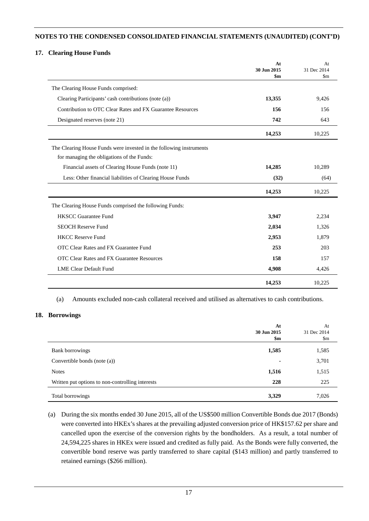#### **17. Clearing House Funds**

|                                                                     | At<br>30 Jun 2015<br>$\mathbf{Sm}$ | At<br>31 Dec 2014<br>$\mathbf{Sm}$ |
|---------------------------------------------------------------------|------------------------------------|------------------------------------|
| The Clearing House Funds comprised:                                 |                                    |                                    |
| Clearing Participants' cash contributions (note (a))                | 13,355                             | 9,426                              |
| Contribution to OTC Clear Rates and FX Guarantee Resources          | 156                                | 156                                |
| Designated reserves (note 21)                                       | 742                                | 643                                |
|                                                                     | 14,253                             | 10,225                             |
| The Clearing House Funds were invested in the following instruments |                                    |                                    |
| for managing the obligations of the Funds:                          |                                    |                                    |
| Financial assets of Clearing House Funds (note 11)                  | 14,285                             | 10,289                             |
| Less: Other financial liabilities of Clearing House Funds           | (32)                               | (64)                               |
|                                                                     | 14,253                             | 10,225                             |
| The Clearing House Funds comprised the following Funds:             |                                    |                                    |
| <b>HKSCC Guarantee Fund</b>                                         | 3,947                              | 2,234                              |
| <b>SEOCH Reserve Fund</b>                                           | 2,034                              | 1,326                              |
| <b>HKCC Reserve Fund</b>                                            | 2,953                              | 1,879                              |
| OTC Clear Rates and FX Guarantee Fund                               | 253                                | 203                                |
| OTC Clear Rates and FX Guarantee Resources                          | 158                                | 157                                |
| <b>LME Clear Default Fund</b>                                       | 4,908                              | 4,426                              |
|                                                                     | 14,253                             | 10,225                             |

(a) Amounts excluded non-cash collateral received and utilised as alternatives to cash contributions.

## **18. Borrowings**

|                                                  | At<br>30 Jun 2015<br>\$m | At<br>31 Dec 2014<br>$\mathfrak{S}$ m |
|--------------------------------------------------|--------------------------|---------------------------------------|
| <b>Bank borrowings</b>                           | 1,585                    | 1,585                                 |
| Convertible bonds (note (a))                     |                          | 3,701                                 |
| <b>Notes</b>                                     | 1,516                    | 1,515                                 |
| Written put options to non-controlling interests | 228                      | 225                                   |
| Total borrowings                                 | 3,329                    | 7,026                                 |

(a) During the six months ended 30 June 2015, all of the US\$500 million Convertible Bonds due 2017 (Bonds) were converted into HKEx's shares at the prevailing adjusted conversion price of HK\$157.62 per share and cancelled upon the exercise of the conversion rights by the bondholders. As a result, a total number of 24,594,225 shares in HKEx were issued and credited as fully paid. As the Bonds were fully converted, the convertible bond reserve was partly transferred to share capital (\$143 million) and partly transferred to retained earnings (\$266 million).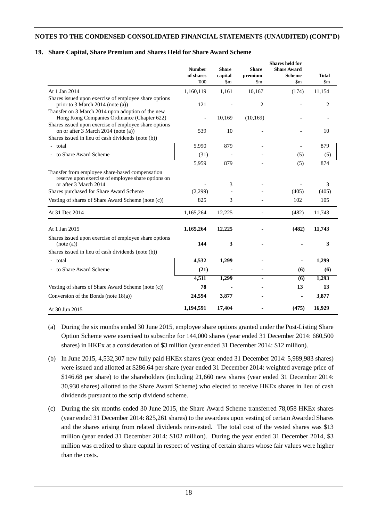## **19. Share Capital, Share Premium and Shares Held for Share Award Scheme**

|                                                                                                                                                    | <b>Number</b> | <b>Share</b>               |                            | <b>Shares held for</b><br><b>Share</b><br><b>Share Award</b> |                |  |
|----------------------------------------------------------------------------------------------------------------------------------------------------|---------------|----------------------------|----------------------------|--------------------------------------------------------------|----------------|--|
|                                                                                                                                                    | of shares     | capital                    | premium                    | <b>Scheme</b>                                                | Total          |  |
|                                                                                                                                                    | 000           | $\mathop{\rm Sm}\nolimits$ | $\mathop{\rm Sm}\nolimits$ | $\rm{Sm}$                                                    | $\mathbf{\$m}$ |  |
| At 1 Jan 2014                                                                                                                                      | 1,160,119     | 1,161                      | 10,167                     | (174)                                                        | 11,154         |  |
| Shares issued upon exercise of employee share options<br>prior to 3 March 2014 (note (a))                                                          | 121           |                            | $\overline{c}$             |                                                              | $\overline{2}$ |  |
| Transfer on 3 March 2014 upon adoption of the new<br>Hong Kong Companies Ordinance (Chapter 622)                                                   |               | 10,169                     | (10, 169)                  |                                                              |                |  |
| Shares issued upon exercise of employee share options<br>on or after 3 March 2014 (note (a))<br>Shares issued in lieu of cash dividends (note (b)) | 539           | 10                         |                            |                                                              | 10             |  |
| - total                                                                                                                                            | 5,990         | 879                        |                            | $\overline{\phantom{a}}$                                     | 879            |  |
|                                                                                                                                                    |               |                            | $\overline{\phantom{a}}$   |                                                              |                |  |
| to Share Award Scheme                                                                                                                              | (31)          |                            |                            | (5)                                                          | (5)            |  |
|                                                                                                                                                    | 5,959         | 879                        | $\overline{\phantom{a}}$   | (5)                                                          | 874            |  |
| Transfer from employee share-based compensation<br>reserve upon exercise of employee share options on<br>or after 3 March 2014                     |               | 3                          |                            |                                                              | 3              |  |
| Shares purchased for Share Award Scheme                                                                                                            | (2,299)       |                            |                            | (405)                                                        | (405)          |  |
| Vesting of shares of Share Award Scheme (note (c))                                                                                                 | 825           | 3                          |                            | 102                                                          | 105            |  |
| At 31 Dec 2014                                                                                                                                     | 1,165,264     | 12,225                     |                            | (482)                                                        | 11,743         |  |
| At 1 Jan 2015                                                                                                                                      | 1,165,264     | 12,225                     |                            | (482)                                                        | 11,743         |  |
| Shares issued upon exercise of employee share options<br>(note (a))                                                                                | 144           | 3                          |                            |                                                              | 3              |  |
| Shares issued in lieu of cash dividends (note (b))                                                                                                 |               |                            |                            |                                                              |                |  |
| - total                                                                                                                                            | 4,532         | 1,299                      | ä,                         | ٠                                                            | 1,299          |  |
| - to Share Award Scheme                                                                                                                            | (21)          |                            |                            | (6)                                                          | (6)            |  |
|                                                                                                                                                    | 4,511         | 1,299                      | ٠                          | $\overline{\mathbf{6}}$                                      | 1,293          |  |
| Vesting of shares of Share Award Scheme (note (c))                                                                                                 | 78            |                            |                            | 13                                                           | 13             |  |
| Conversion of the Bonds (note $18(a)$ )                                                                                                            | 24,594        | 3,877                      |                            |                                                              | 3,877          |  |
| At 30 Jun 2015                                                                                                                                     | 1,194,591     | 17,404                     |                            | (475)                                                        | 16,929         |  |

- (a) During the six months ended 30 June 2015, employee share options granted under the Post-Listing Share Option Scheme were exercised to subscribe for 144,000 shares (year ended 31 December 2014: 660,500 shares) in HKEx at a consideration of \$3 million (year ended 31 December 2014: \$12 million).
- (b) In June 2015, 4,532,307 new fully paid HKEx shares (year ended 31 December 2014: 5,989,983 shares) were issued and allotted at \$286.64 per share (year ended 31 December 2014: weighted average price of \$146.68 per share) to the shareholders (including 21,660 new shares (year ended 31 December 2014: 30,930 shares) allotted to the Share Award Scheme) who elected to receive HKEx shares in lieu of cash dividends pursuant to the scrip dividend scheme.
- (c) During the six months ended 30 June 2015, the Share Award Scheme transferred 78,058 HKEx shares (year ended 31 December 2014: 825,261 shares) to the awardees upon vesting of certain Awarded Shares and the shares arising from related dividends reinvested. The total cost of the vested shares was \$13 million (year ended 31 December 2014: \$102 million). During the year ended 31 December 2014, \$3 million was credited to share capital in respect of vesting of certain shares whose fair values were higher than the costs.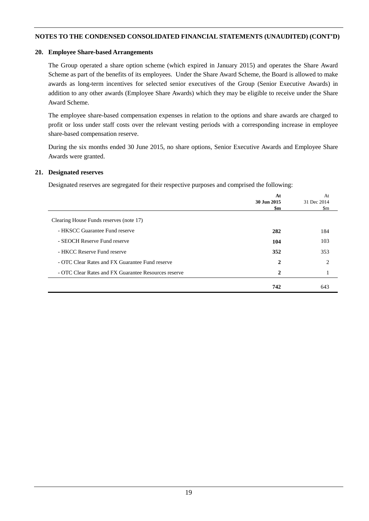#### **20. Employee Share-based Arrangements**

The Group operated a share option scheme (which expired in January 2015) and operates the Share Award Scheme as part of the benefits of its employees. Under the Share Award Scheme, the Board is allowed to make awards as long-term incentives for selected senior executives of the Group (Senior Executive Awards) in addition to any other awards (Employee Share Awards) which they may be eligible to receive under the Share Award Scheme.

The employee share-based compensation expenses in relation to the options and share awards are charged to profit or loss under staff costs over the relevant vesting periods with a corresponding increase in employee share-based compensation reserve.

During the six months ended 30 June 2015, no share options, Senior Executive Awards and Employee Share Awards were granted.

#### **21. Designated reserves**

Designated reserves are segregated for their respective purposes and comprised the following:

|                                                      | At           | At          |
|------------------------------------------------------|--------------|-------------|
|                                                      | 30 Jun 2015  | 31 Dec 2014 |
|                                                      | \$m          | \$m         |
|                                                      |              |             |
| Clearing House Funds reserves (note 17)              |              |             |
| - HKSCC Guarantee Fund reserve                       | 282          | 184         |
|                                                      |              |             |
| - SEOCH Reserve Fund reserve                         | 104          | 103         |
| - HKCC Reserve Fund reserve                          | 352          | 353         |
|                                                      |              |             |
| - OTC Clear Rates and FX Guarantee Fund reserve      | $\mathbf{2}$ | 2           |
| - OTC Clear Rates and FX Guarantee Resources reserve | $\mathbf{2}$ |             |
|                                                      |              |             |
|                                                      | 742          | 643         |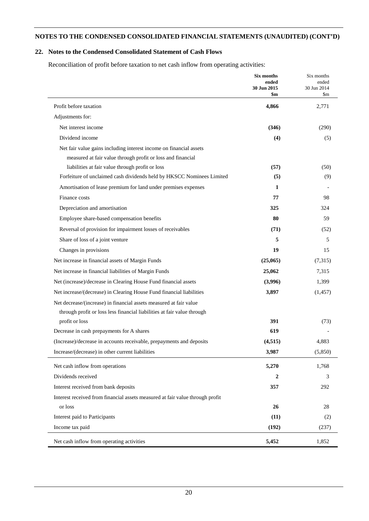## **22. Notes to the Condensed Consolidated Statement of Cash Flows**

 $\overline{a}$ 

Reconciliation of profit before taxation to net cash inflow from operating activities:

|                                                                               | <b>Six months</b><br>ended<br>30 Jun 2015<br>$\mathbf{Sm}$ | Six months<br>ended<br>30 Jun 2014<br>$\rm{Sm}$ |
|-------------------------------------------------------------------------------|------------------------------------------------------------|-------------------------------------------------|
| Profit before taxation                                                        | 4,866                                                      | 2,771                                           |
| Adjustments for:                                                              |                                                            |                                                 |
| Net interest income                                                           | (346)                                                      | (290)                                           |
| Dividend income                                                               | (4)                                                        | (5)                                             |
| Net fair value gains including interest income on financial assets            |                                                            |                                                 |
| measured at fair value through profit or loss and financial                   |                                                            |                                                 |
| liabilities at fair value through profit or loss                              | (57)                                                       | (50)                                            |
| Forfeiture of unclaimed cash dividends held by HKSCC Nominees Limited         | (5)                                                        | (9)                                             |
| Amortisation of lease premium for land under premises expenses                | 1                                                          |                                                 |
| Finance costs                                                                 | 77                                                         | 98                                              |
| Depreciation and amortisation                                                 | 325                                                        | 324                                             |
| Employee share-based compensation benefits                                    | 80                                                         | 59                                              |
| Reversal of provision for impairment losses of receivables                    | (71)                                                       | (52)                                            |
| Share of loss of a joint venture                                              | 5                                                          | 5                                               |
| Changes in provisions                                                         | 19                                                         | 15                                              |
| Net increase in financial assets of Margin Funds                              | (25,065)                                                   | (7,315)                                         |
| Net increase in financial liabilities of Margin Funds                         | 25,062                                                     | 7,315                                           |
| Net (increase)/decrease in Clearing House Fund financial assets               | (3,996)                                                    | 1,399                                           |
| Net increase/(decrease) in Clearing House Fund financial liabilities          | 3,897                                                      | (1, 457)                                        |
| Net decrease/(increase) in financial assets measured at fair value            |                                                            |                                                 |
| through profit or loss less financial liabilities at fair value through       |                                                            |                                                 |
| profit or loss                                                                | 391                                                        | (73)                                            |
| Decrease in cash prepayments for A shares                                     | 619                                                        |                                                 |
| (Increase)/decrease in accounts receivable, prepayments and deposits          | (4, 515)                                                   | 4,883                                           |
| Increase/(decrease) in other current liabilities                              | 3,987                                                      | (5,850)                                         |
| Net cash inflow from operations                                               | 5,270                                                      | 1,768                                           |
| Dividends received                                                            | 2                                                          | 3                                               |
| Interest received from bank deposits                                          | 357                                                        | 292                                             |
| Interest received from financial assets measured at fair value through profit |                                                            |                                                 |
| or loss                                                                       | 26                                                         | 28                                              |
| Interest paid to Participants                                                 | (11)                                                       | (2)                                             |
| Income tax paid                                                               | (192)                                                      | (237)                                           |
| Net cash inflow from operating activities                                     | 5,452                                                      | 1,852                                           |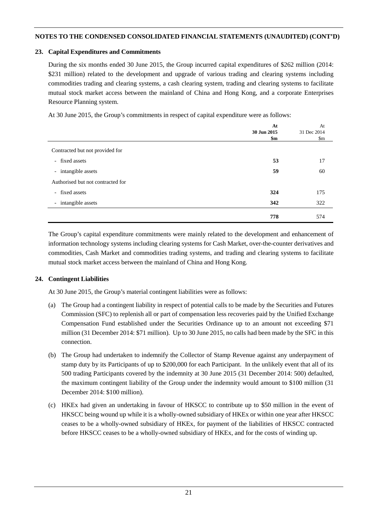## **23. Capital Expenditures and Commitments**

During the six months ended 30 June 2015, the Group incurred capital expenditures of \$262 million (2014: \$231 million) related to the development and upgrade of various trading and clearing systems including commodities trading and clearing systems, a cash clearing system, trading and clearing systems to facilitate mutual stock market access between the mainland of China and Hong Kong, and a corporate Enterprises Resource Planning system.

At 30 June 2015, the Group's commitments in respect of capital expenditure were as follows:

|                                   | At             | At            |
|-----------------------------------|----------------|---------------|
|                                   | 30 Jun 2015    | 31 Dec 2014   |
|                                   | $\mathbf{\$m}$ | $\mathsf{Sm}$ |
| Contracted but not provided for   |                |               |
| - fixed assets                    | 53             | 17            |
| - intangible assets               | 59             | 60            |
| Authorised but not contracted for |                |               |
| - fixed assets                    | 324            | 175           |
| - intangible assets               | 342            | 322           |
|                                   | 778            | 574           |

The Group's capital expenditure commitments were mainly related to the development and enhancement of information technology systems including clearing systems for Cash Market, over-the-counter derivatives and commodities, Cash Market and commodities trading systems, and trading and clearing systems to facilitate mutual stock market access between the mainland of China and Hong Kong.

## **24. Contingent Liabilities**

At 30 June 2015, the Group's material contingent liabilities were as follows:

- (a) The Group had a contingent liability in respect of potential calls to be made by the Securities and Futures Commission (SFC) to replenish all or part of compensation less recoveries paid by the Unified Exchange Compensation Fund established under the Securities Ordinance up to an amount not exceeding \$71 million (31 December 2014: \$71 million). Up to 30 June 2015, no calls had been made by the SFC in this connection.
- (b) The Group had undertaken to indemnify the Collector of Stamp Revenue against any underpayment of stamp duty by its Participants of up to \$200,000 for each Participant. In the unlikely event that all of its 500 trading Participants covered by the indemnity at 30 June 2015 (31 December 2014: 500) defaulted, the maximum contingent liability of the Group under the indemnity would amount to \$100 million (31 December 2014: \$100 million).
- (c) HKEx had given an undertaking in favour of HKSCC to contribute up to \$50 million in the event of HKSCC being wound up while it is a wholly-owned subsidiary of HKEx or within one year after HKSCC ceases to be a wholly-owned subsidiary of HKEx, for payment of the liabilities of HKSCC contracted before HKSCC ceases to be a wholly-owned subsidiary of HKEx, and for the costs of winding up.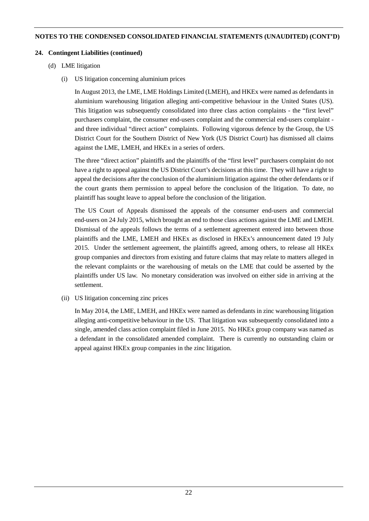### **24. Contingent Liabilities (continued)**

- (d) LME litigation
	- (i) US litigation concerning aluminium prices

In August 2013, the LME, LME Holdings Limited (LMEH), and HKEx were named as defendants in aluminium warehousing litigation alleging anti-competitive behaviour in the United States (US). This litigation was subsequently consolidated into three class action complaints - the "first level" purchasers complaint, the consumer end-users complaint and the commercial end-users complaint and three individual "direct action" complaints. Following vigorous defence by the Group, the US District Court for the Southern District of New York (US District Court) has dismissed all claims against the LME, LMEH, and HKEx in a series of orders.

The three "direct action" plaintiffs and the plaintiffs of the "first level" purchasers complaint do not have a right to appeal against the US District Court's decisions at this time. They will have a right to appeal the decisions after the conclusion of the aluminium litigation against the other defendants or if the court grants them permission to appeal before the conclusion of the litigation. To date, no plaintiff has sought leave to appeal before the conclusion of the litigation.

The US Court of Appeals dismissed the appeals of the consumer end-users and commercial end-users on 24 July 2015, which brought an end to those class actions against the LME and LMEH. Dismissal of the appeals follows the terms of a settlement agreement entered into between those plaintiffs and the LME, LMEH and HKEx as disclosed in HKEx's announcement dated 19 July 2015. Under the settlement agreement, the plaintiffs agreed, among others, to release all HKEx group companies and directors from existing and future claims that may relate to matters alleged in the relevant complaints or the warehousing of metals on the LME that could be asserted by the plaintiffs under US law. No monetary consideration was involved on either side in arriving at the settlement.

(ii) US litigation concerning zinc prices

In May 2014, the LME, LMEH, and HKEx were named as defendants in zinc warehousing litigation alleging anti-competitive behaviour in the US. That litigation was subsequently consolidated into a single, amended class action complaint filed in June 2015. No HKEx group company was named as a defendant in the consolidated amended complaint. There is currently no outstanding claim or appeal against HKEx group companies in the zinc litigation.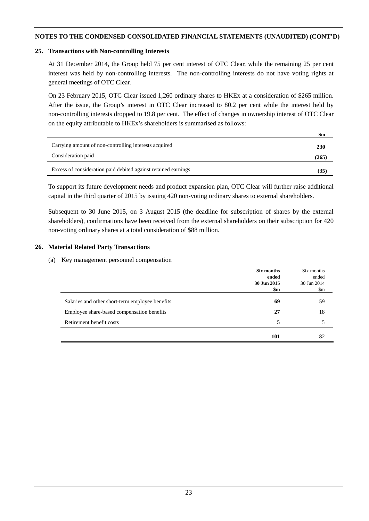#### **25. Transactions with Non-controlling Interests**

At 31 December 2014, the Group held 75 per cent interest of OTC Clear, while the remaining 25 per cent interest was held by non-controlling interests. The non-controlling interests do not have voting rights at general meetings of OTC Clear.

On 23 February 2015, OTC Clear issued 1,260 ordinary shares to HKEx at a consideration of \$265 million. After the issue, the Group's interest in OTC Clear increased to 80.2 per cent while the interest held by non-controlling interests dropped to 19.8 per cent. The effect of changes in ownership interest of OTC Clear on the equity attributable to HKEx's shareholders is summarised as follows:

|                                                                | \$m   |
|----------------------------------------------------------------|-------|
| Carrying amount of non-controlling interests acquired          | 230   |
| Consideration paid                                             | (265) |
| Excess of consideration paid debited against retained earnings | (35)  |

To support its future development needs and product expansion plan, OTC Clear will further raise additional capital in the third quarter of 2015 by issuing 420 non-voting ordinary shares to external shareholders.

Subsequent to 30 June 2015, on 3 August 2015 (the deadline for subscription of shares by the external shareholders), confirmations have been received from the external shareholders on their subscription for 420 non-voting ordinary shares at a total consideration of \$88 million.

### **26. Material Related Party Transactions**

### (a) Key management personnel compensation

|                                                 | Six months<br>ended | Six months<br>ended |
|-------------------------------------------------|---------------------|---------------------|
|                                                 | 30 Jun 2015         | 30 Jun 2014         |
|                                                 | \$m                 | \$m                 |
| Salaries and other short-term employee benefits | 69                  | 59                  |
| Employee share-based compensation benefits      | 27                  | 18                  |
| Retirement benefit costs                        | 5                   | 5                   |
|                                                 | 101                 | 82                  |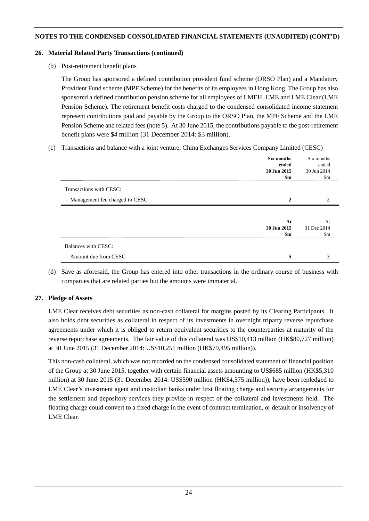#### **26. Material Related Party Transactions (continued)**

(b) Post-retirement benefit plans

The Group has sponsored a defined contribution provident fund scheme (ORSO Plan) and a Mandatory Provident Fund scheme (MPF Scheme) for the benefits of its employees in Hong Kong. The Group has also sponsored a defined contribution pension scheme for all employees of LMEH, LME and LME Clear (LME Pension Scheme). The retirement benefit costs charged to the condensed consolidated income statement represent contributions paid and payable by the Group to the ORSO Plan, the MPF Scheme and the LME Pension Scheme and related fees (note 5). At 30 June 2015, the contributions payable to the post-retirement benefit plans were \$4 million (31 December 2014: \$3 million).

(c) Transactions and balance with a joint venture, China Exchanges Services Company Limited (CESC)

|                                  | Six months<br>ended<br>30 Jun 2015<br>\$m | Six months<br>ended<br>30 Jun 2014<br>$\mathop{\mathrm{Sm}}$ |
|----------------------------------|-------------------------------------------|--------------------------------------------------------------|
| Transactions with CESC:          |                                           |                                                              |
| - Management fee charged to CESC | 2                                         | $\mathcal{D}_{\mathcal{L}}$                                  |
|                                  |                                           |                                                              |
|                                  | At                                        | At                                                           |
|                                  | 30 Jun 2015                               | 31 Dec 2014                                                  |
|                                  | \$m                                       | $\mathop{\mathrm{Sm}}$                                       |
| Balances with CESC:              |                                           |                                                              |
| - Amount due from CESC           | 5                                         | 3                                                            |

(d) Save as aforesaid, the Group has entered into other transactions in the ordinary course of business with companies that are related parties but the amounts were immaterial.

## **27. Pledge of Assets**

LME Clear receives debt securities as non-cash collateral for margins posted by its Clearing Participants. It also holds debt securities as collateral in respect of its investments in overnight triparty reverse repurchase agreements under which it is obliged to return equivalent securities to the counterparties at maturity of the reverse repurchase agreements. The fair value of this collateral was US\$10,413 million (HK\$80,727 million) at 30 June 2015 (31 December 2014: US\$10,251 million (HK\$79,495 million)).

This non-cash collateral, which was not recorded on the condensed consolidated statement of financial position of the Group at 30 June 2015, together with certain financial assets amounting to US\$685 million (HK\$5,310 million) at 30 June 2015 (31 December 2014: US\$590 million (HK\$4,575 million)), have been repledged to LME Clear's investment agent and custodian banks under first floating charge and security arrangements for the settlement and depository services they provide in respect of the collateral and investments held. The floating charge could convert to a fixed charge in the event of contract termination, or default or insolvency of LME Clear.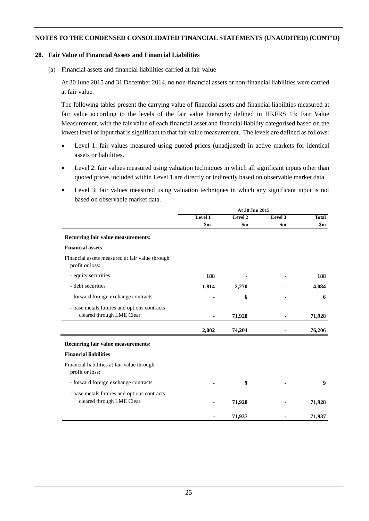#### **28. Fair Value of Financial Assets and Financial Liabilities**

(a) Financial assets and financial liabilities carried at fair value

At 30 June 2015 and 31 December 2014, no non-financial assets or non-financial liabilities were carried at fair value.

The following tables present the carrying value of financial assets and financial liabilities measured at fair value according to the levels of the fair value hierarchy defined in HKFRS 13: Fair Value Measurement, with the fair value of each financial asset and financial liability categorised based on the lowest level of input that is significant to that fair value measurement. The levels are defined as follows:

- Level 1: fair values measured using quoted prices (unadjusted) in active markets for identical assets or liabilities.
- Level 2: fair values measured using valuation techniques in which all significant inputs other than quoted prices included within Level 1 are directly or indirectly based on observable market data.
- Level 3: fair values measured using valuation techniques in which any significant input is not based on observable market data.

|                                                                          | At 30 Jun 2015 |               |                |                  |
|--------------------------------------------------------------------------|----------------|---------------|----------------|------------------|
|                                                                          | Level 1        | Level 2       | Level 3        | <b>Total</b>     |
|                                                                          | $\mathbf{\$m}$ | $\mathbf{Sm}$ | $\mathbf{\$m}$ | $\mathbf{\$m}$   |
| Recurring fair value measurements:                                       |                |               |                |                  |
| <b>Financial assets</b>                                                  |                |               |                |                  |
| Financial assets measured at fair value through<br>profit or loss:       |                |               |                |                  |
| - equity securities                                                      | 188            |               |                | 188              |
| - debt securities                                                        | 1,814          | 2,270         |                | 4,084            |
| - forward foreign exchange contracts                                     |                | 6             |                | 6                |
| - base metals futures and options contracts<br>cleared through LME Clear |                | 71,928        |                | 71,928           |
|                                                                          | 2,002          | 74,204        |                | 76,206           |
| Recurring fair value measurements:                                       |                |               |                |                  |
| <b>Financial liabilities</b>                                             |                |               |                |                  |
| Financial liabilities at fair value through<br>profit or loss:           |                |               |                |                  |
| - forward foreign exchange contracts                                     |                | 9             |                | $\boldsymbol{9}$ |
| - base metals futures and options contracts                              |                |               |                |                  |
| cleared through LME Clear                                                |                | 71,928        |                | 71,928           |
|                                                                          |                | 71,937        |                | 71,937           |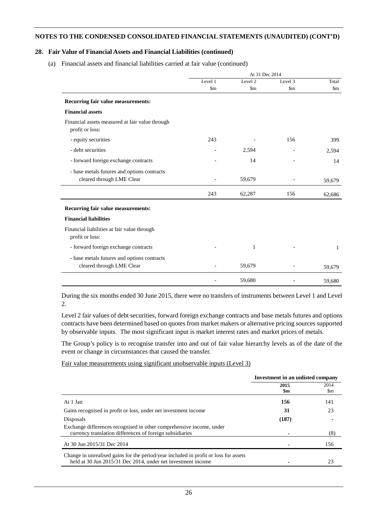#### **28. Fair Value of Financial Assets and Financial Liabilities (continued)**

(a) Financial assets and financial liabilities carried at fair value (continued)

|                                                                          | At 31 Dec 2014 |               |                        |                        |
|--------------------------------------------------------------------------|----------------|---------------|------------------------|------------------------|
|                                                                          | Level 1        | Level 2       | Level 3                | Total                  |
|                                                                          | $\mathbf{\$m}$ | $\mathbf{Sm}$ | $\mathop{\mathrm{Sm}}$ | $\mathop{\mathrm{Sm}}$ |
| Recurring fair value measurements:                                       |                |               |                        |                        |
| <b>Financial assets</b>                                                  |                |               |                        |                        |
| Financial assets measured at fair value through<br>profit or loss:       |                |               |                        |                        |
| - equity securities                                                      | 243            |               | 156                    | 399                    |
| - debt securities                                                        |                | 2,594         |                        | 2,594                  |
| - forward foreign exchange contracts                                     |                | 14            |                        | 14                     |
| - base metals futures and options contracts<br>cleared through LME Clear |                | 59,679        |                        | 59,679                 |
|                                                                          | 243            | 62,287        | 156                    | 62,686                 |
| Recurring fair value measurements:                                       |                |               |                        |                        |
| <b>Financial liabilities</b>                                             |                |               |                        |                        |
| Financial liabilities at fair value through<br>profit or loss:           |                |               |                        |                        |
| - forward foreign exchange contracts                                     |                | 1             |                        | 1                      |
| - base metals futures and options contracts<br>cleared through LME Clear |                | 59,679        |                        | 59,679                 |
|                                                                          |                | 59,680        |                        | 59,680                 |

During the six months ended 30 June 2015, there were no transfers of instruments between Level 1 and Level 2.

Level 2 fair values of debt securities, forward foreign exchange contracts and base metals futures and options contracts have been determined based on quotes from market makers or alternative pricing sources supported by observable inputs. The most significant input is market interest rates and market prices of metals.

The Group's policy is to recognise transfer into and out of fair value hierarchy levels as of the date of the event or change in circumstances that caused the transfer.

#### Fair value measurements using significant unobservable inputs (Level 3)

|                                                                                                                                                      |             | Investment in an unlisted company |  |  |
|------------------------------------------------------------------------------------------------------------------------------------------------------|-------------|-----------------------------------|--|--|
|                                                                                                                                                      | 2015<br>\$m | 2014<br>\$m                       |  |  |
| At 1 Jan                                                                                                                                             | 156         | 141                               |  |  |
| Gains recognised in profit or loss, under net investment income                                                                                      | 31          | 23                                |  |  |
| Disposals                                                                                                                                            | (187)       |                                   |  |  |
| Exchange differences recognised in other comprehensive income, under<br>currency translation differences of foreign subsidiaries                     |             | (8)                               |  |  |
| At 30 Jun 2015/31 Dec 2014                                                                                                                           |             | 156                               |  |  |
| Change in unrealised gains for the period/year included in profit or loss for assets<br>held at 30 Jun 2015/31 Dec 2014, under net investment income |             | 23                                |  |  |